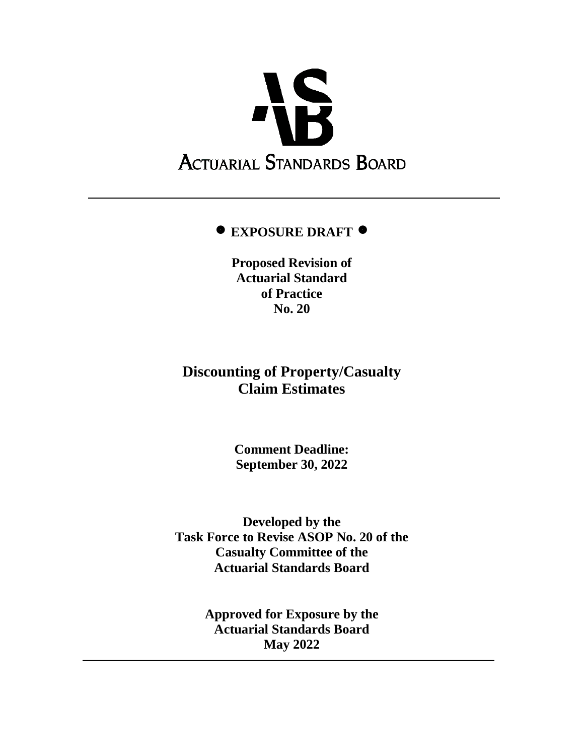

# **EXPOSURE DRAFT**

**Proposed Revision of Actuarial Standard of Practice No. 20**

# **Discounting of Property/Casualty Claim Estimates**

**Comment Deadline: September 30, 2022**

**Developed by the Task Force to Revise ASOP No. 20 of the Casualty Committee of the Actuarial Standards Board**

> **Approved for Exposure by the Actuarial Standards Board May 2022**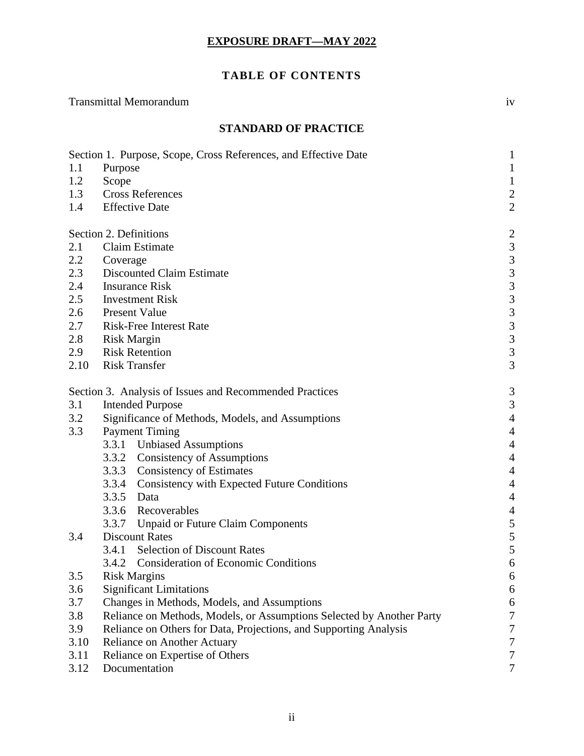# **TABLE OF CONTENTS**

|                             | <b>Transmittal Memorandum</b>                                                                  |                         |  |
|-----------------------------|------------------------------------------------------------------------------------------------|-------------------------|--|
| <b>STANDARD OF PRACTICE</b> |                                                                                                |                         |  |
|                             | Section 1. Purpose, Scope, Cross References, and Effective Date                                | 1                       |  |
| 1.1                         | Purpose                                                                                        | $\mathbf{1}$            |  |
| 1.2                         | Scope                                                                                          | $\mathbf{1}$            |  |
| 1.3                         | <b>Cross References</b>                                                                        | $\frac{2}{2}$           |  |
| 1.4                         | <b>Effective Date</b>                                                                          |                         |  |
|                             | Section 2. Definitions                                                                         | $\overline{c}$          |  |
| 2.1                         | Claim Estimate                                                                                 | 3                       |  |
| 2.2                         | Coverage                                                                                       | $\overline{\mathbf{3}}$ |  |
| 2.3                         | <b>Discounted Claim Estimate</b>                                                               | 3                       |  |
| 2.4                         | <b>Insurance Risk</b>                                                                          |                         |  |
| 2.5                         | <b>Investment Risk</b>                                                                         | $\frac{3}{3}$           |  |
| 2.6                         | <b>Present Value</b>                                                                           | 3                       |  |
| 2.7                         | <b>Risk-Free Interest Rate</b>                                                                 |                         |  |
| 2.8                         | <b>Risk Margin</b>                                                                             | $\frac{3}{3}$           |  |
| 2.9                         | <b>Risk Retention</b>                                                                          | 3                       |  |
| 2.10                        | <b>Risk Transfer</b>                                                                           | 3                       |  |
|                             | Section 3. Analysis of Issues and Recommended Practices                                        | 3                       |  |
| 3.1                         | <b>Intended Purpose</b>                                                                        | 3                       |  |
| 3.2                         | Significance of Methods, Models, and Assumptions                                               | $\overline{4}$          |  |
| 3.3                         | <b>Payment Timing</b>                                                                          | $\overline{4}$          |  |
|                             | 3.3.1 Unbiased Assumptions                                                                     | $\overline{4}$          |  |
|                             | <b>Consistency of Assumptions</b><br>3.3.2                                                     | $\overline{4}$          |  |
|                             | 3.3.3<br><b>Consistency of Estimates</b>                                                       | $\overline{4}$          |  |
|                             | Consistency with Expected Future Conditions<br>3.3.4                                           | $\overline{4}$          |  |
|                             | 3.3.5<br>Data                                                                                  | $\overline{4}$          |  |
|                             | 3.3.6<br>Recoverables                                                                          | $\overline{4}$          |  |
|                             | 3.3.7<br><b>Unpaid or Future Claim Components</b>                                              | 5                       |  |
| 3.4                         | <b>Discount Rates</b>                                                                          | 5                       |  |
|                             | <b>Selection of Discount Rates</b><br>3.4.1                                                    | 5                       |  |
|                             | <b>Consideration of Economic Conditions</b><br>3.4.2                                           | 6                       |  |
| 3.5                         | <b>Risk Margins</b>                                                                            | 6                       |  |
| 3.6                         | <b>Significant Limitations</b>                                                                 |                         |  |
| 3.7                         | Changes in Methods, Models, and Assumptions                                                    |                         |  |
| 3.8                         | 6<br>$\boldsymbol{7}$<br>Reliance on Methods, Models, or Assumptions Selected by Another Party |                         |  |
| 3.9                         | Reliance on Others for Data, Projections, and Supporting Analysis<br>7                         |                         |  |
| 3.10                        | $\boldsymbol{7}$<br><b>Reliance on Another Actuary</b>                                         |                         |  |
| 3.11                        | Reliance on Expertise of Others                                                                |                         |  |
| 3.12                        | Documentation                                                                                  | $\boldsymbol{7}$        |  |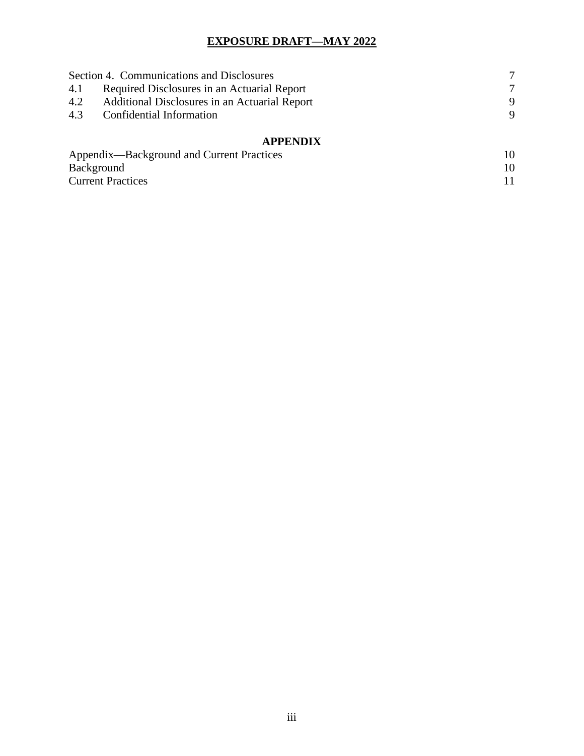| Section 4. Communications and Disclosures                   |        |  |
|-------------------------------------------------------------|--------|--|
| Required Disclosures in an Actuarial Report<br>4.1          | $\tau$ |  |
| <b>Additional Disclosures in an Actuarial Report</b><br>4.2 | 9      |  |
| 4.3<br>Confidential Information                             | 9      |  |
| <b>APPENDIX</b>                                             |        |  |
| Appendix—Background and Current Practices                   | 10     |  |
| Background                                                  | 10     |  |
| <b>Current Practices</b>                                    |        |  |

Current Practices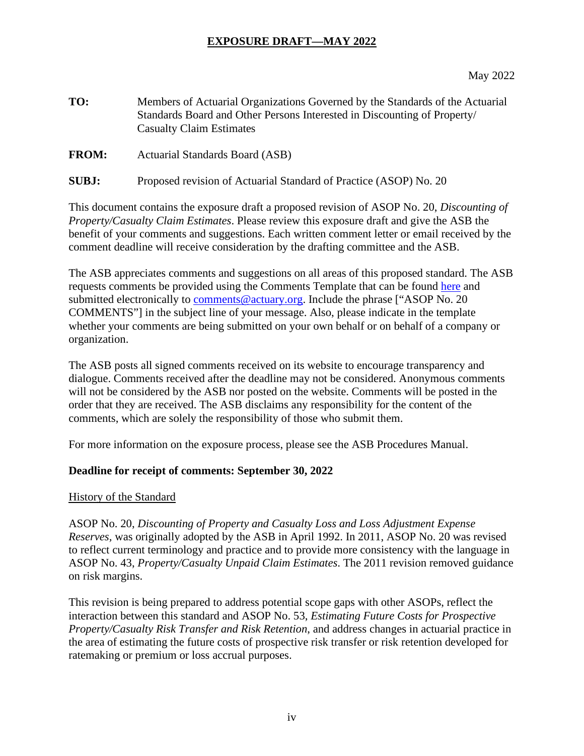#### May 2022

- **TO:** Members of Actuarial Organizations Governed by the Standards of the Actuarial Standards Board and Other Persons Interested in Discounting of Property/ Casualty Claim Estimates
- **FROM:** Actuarial Standards Board (ASB)
- **SUBJ:** Proposed revision of Actuarial Standard of Practice (ASOP) No. 20

This document contains the exposure draft a proposed revision of ASOP No. 20, *Discounting of Property/Casualty Claim Estimates*. Please review this exposure draft and give the ASB the benefit of your comments and suggestions. Each written comment letter or email received by the comment deadline will receive consideration by the drafting committee and the ASB.

The ASB appreciates comments and suggestions on all areas of this proposed standard. The ASB requests comments be provided using the Comments Template that can be found [here](http://www.actuarialstandardsboard.org/asb-comment-template/) and submitted electronically to comments@actuary.org. Include the phrase ["ASOP No. 20"] COMMENTS"] in the subject line of your message. Also, please indicate in the template whether your comments are being submitted on your own behalf or on behalf of a company or organization.

The ASB posts all signed comments received on its website to encourage transparency and dialogue. Comments received after the deadline may not be considered. Anonymous comments will not be considered by the ASB nor posted on the website. Comments will be posted in the order that they are received. The ASB disclaims any responsibility for the content of the comments, which are solely the responsibility of those who submit them.

For more information on the exposure process, please see the ASB Procedures Manual.

#### **Deadline for receipt of comments: September 30, 2022**

#### History of the Standard

ASOP No. 20, *Discounting of Property and Casualty Loss and Loss Adjustment Expense Reserves,* was originally adopted by the ASB in April 1992. In 2011, ASOP No. 20 was revised to reflect current terminology and practice and to provide more consistency with the language in ASOP No. 43, *Property/Casualty Unpaid Claim Estimates*. The 2011 revision removed guidance on risk margins.

This revision is being prepared to address potential scope gaps with other ASOPs, reflect the interaction between this standard and ASOP No. 53, *Estimating Future Costs for Prospective Property/Casualty Risk Transfer and Risk Retention*, and address changes in actuarial practice in the area of estimating the future costs of prospective risk transfer or risk retention developed for ratemaking or premium or loss accrual purposes.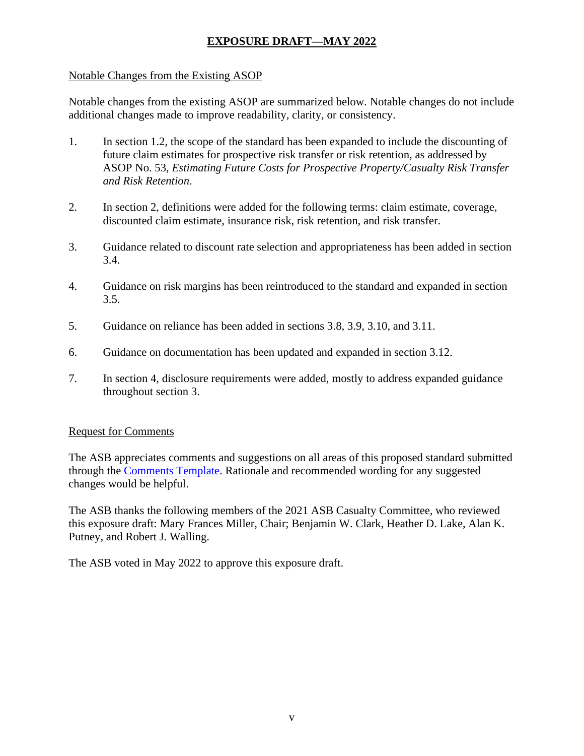#### Notable Changes from the Existing ASOP

Notable changes from the existing ASOP are summarized below. Notable changes do not include additional changes made to improve readability, clarity, or consistency.

- 1. In section 1.2, the scope of the standard has been expanded to include the discounting of future claim estimates for prospective risk transfer or risk retention, as addressed by ASOP No. 53, *Estimating Future Costs for Prospective Property/Casualty Risk Transfer and Risk Retention*.
- 2. In section 2, definitions were added for the following terms: claim estimate, coverage, discounted claim estimate, insurance risk, risk retention, and risk transfer.
- 3. Guidance related to discount rate selection and appropriateness has been added in section 3.4.
- 4. Guidance on risk margins has been reintroduced to the standard and expanded in section 3.5.
- 5. Guidance on reliance has been added in sections 3.8, 3.9, 3.10, and 3.11.
- 6. Guidance on documentation has been updated and expanded in section 3.12.
- 7. In section 4, disclosure requirements were added, mostly to address expanded guidance throughout section 3.

#### Request for Comments

The ASB appreciates comments and suggestions on all areas of this proposed standard submitted through the [Comments Template.](http://www.actuarialstandardsboard.org/asb-comment-template/) Rationale and recommended wording for any suggested changes would be helpful.

The ASB thanks the following members of the 2021 ASB Casualty Committee, who reviewed this exposure draft: Mary Frances Miller, Chair; Benjamin W. Clark, Heather D. Lake, Alan K. Putney, and Robert J. Walling.

The ASB voted in May 2022 to approve this exposure draft.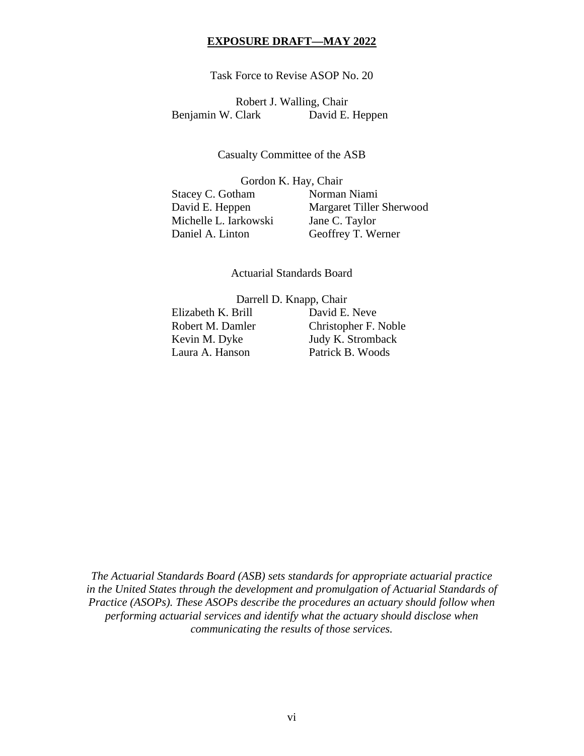Task Force to Revise ASOP No. 20

Robert J. Walling, Chair Benjamin W. Clark David E. Heppen

Casualty Committee of the ASB

Gordon K. Hay, Chair Stacey C. Gotham Norman Niami David E. Heppen Margaret Tiller Sherwood Michelle L. Iarkowski Jane C. Taylor Daniel A. Linton Geoffrey T. Werner

Actuarial Standards Board

Darrell D. Knapp, Chair

Elizabeth K. Brill David E. Neve

Robert M. Damler Christopher F. Noble Kevin M. Dyke Judy K. Stromback Laura A. Hanson Patrick B. Woods

*The Actuarial Standards Board (ASB) sets standards for appropriate actuarial practice in the United States through the development and promulgation of Actuarial Standards of Practice (ASOPs). These ASOPs describe the procedures an actuary should follow when performing actuarial services and identify what the actuary should disclose when communicating the results of those services.*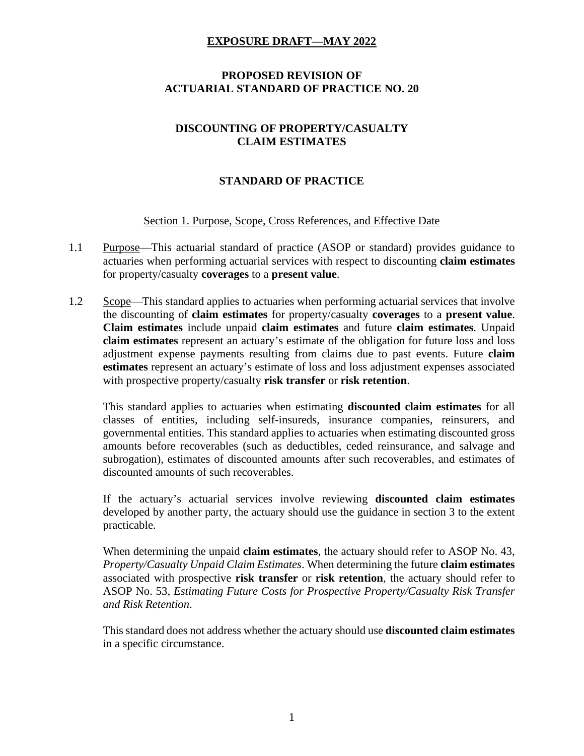#### **PROPOSED REVISION OF ACTUARIAL STANDARD OF PRACTICE NO. 20**

# **DISCOUNTING OF PROPERTY/CASUALTY CLAIM ESTIMATES**

# **STANDARD OF PRACTICE**

#### Section 1. Purpose, Scope, Cross References, and Effective Date

- 1.1 Purpose—This actuarial standard of practice (ASOP or standard) provides guidance to actuaries when performing actuarial services with respect to discounting **claim estimates** for property/casualty **coverages** to a **present value**.
- 1.2 Scope—This standard applies to actuaries when performing actuarial services that involve the discounting of **claim estimates** for property/casualty **coverages** to a **present value**. **Claim estimates** include unpaid **claim estimates** and future **claim estimates**. Unpaid **claim estimates** represent an actuary's estimate of the obligation for future loss and loss adjustment expense payments resulting from claims due to past events. Future **claim estimates** represent an actuary's estimate of loss and loss adjustment expenses associated with prospective property/casualty **risk transfer** or **risk retention**.

This standard applies to actuaries when estimating **discounted claim estimates** for all classes of entities, including self-insureds, insurance companies, reinsurers, and governmental entities. This standard applies to actuaries when estimating discounted gross amounts before recoverables (such as deductibles, ceded reinsurance, and salvage and subrogation), estimates of discounted amounts after such recoverables, and estimates of discounted amounts of such recoverables.

If the actuary's actuarial services involve reviewing **discounted claim estimates** developed by another party, the actuary should use the guidance in section 3 to the extent practicable.

When determining the unpaid **claim estimates**, the actuary should refer to ASOP No. 43, *Property/Casualty Unpaid Claim Estimates*. When determining the future **claim estimates** associated with prospective **risk transfer** or **risk retention**, the actuary should refer to ASOP No. 53, *Estimating Future Costs for Prospective Property/Casualty Risk Transfer and Risk Retention*.

This standard does not address whether the actuary should use **discounted claim estimates** in a specific circumstance.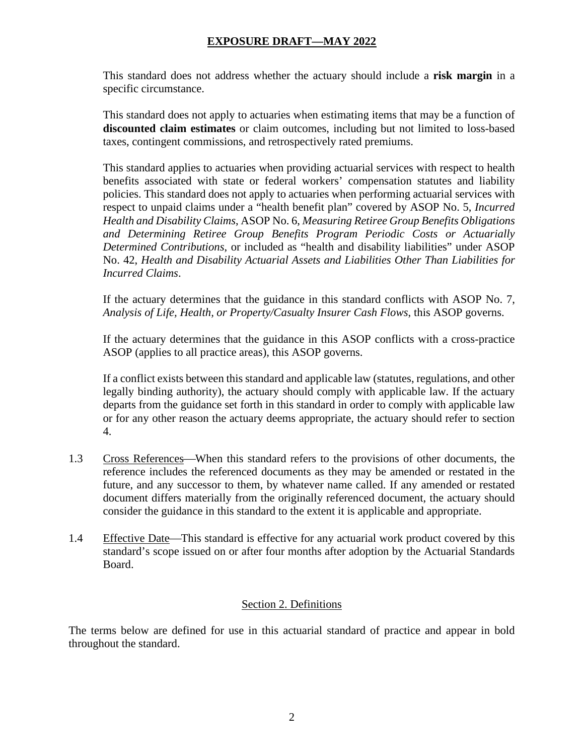This standard does not address whether the actuary should include a **risk margin** in a specific circumstance.

This standard does not apply to actuaries when estimating items that may be a function of **discounted claim estimates** or claim outcomes, including but not limited to loss-based taxes, contingent commissions, and retrospectively rated premiums.

This standard applies to actuaries when providing actuarial services with respect to health benefits associated with state or federal workers' compensation statutes and liability policies. This standard does not apply to actuaries when performing actuarial services with respect to unpaid claims under a "health benefit plan" covered by ASOP No. 5, *Incurred Health and Disability Claims*, ASOP No. 6, *Measuring Retiree Group Benefits Obligations and Determining Retiree Group Benefits Program Periodic Costs or Actuarially Determined Contributions*, or included as "health and disability liabilities" under ASOP No. 42, *Health and Disability Actuarial Assets and Liabilities Other Than Liabilities for Incurred Claims*.

If the actuary determines that the guidance in this standard conflicts with ASOP No. 7, *Analysis of Life, Health, or Property/Casualty Insurer Cash Flows*, this ASOP governs.

If the actuary determines that the guidance in this ASOP conflicts with a cross-practice ASOP (applies to all practice areas), this ASOP governs.

If a conflict exists between this standard and applicable law (statutes, regulations, and other legally binding authority), the actuary should comply with applicable law. If the actuary departs from the guidance set forth in this standard in order to comply with applicable law or for any other reason the actuary deems appropriate, the actuary should refer to section 4.

- 1.3 Cross References—When this standard refers to the provisions of other documents, the reference includes the referenced documents as they may be amended or restated in the future, and any successor to them, by whatever name called. If any amended or restated document differs materially from the originally referenced document, the actuary should consider the guidance in this standard to the extent it is applicable and appropriate.
- 1.4 Effective Date—This standard is effective for any actuarial work product covered by this standard's scope issued on or after four months after adoption by the Actuarial Standards Board.

## Section 2. Definitions

The terms below are defined for use in this actuarial standard of practice and appear in bold throughout the standard.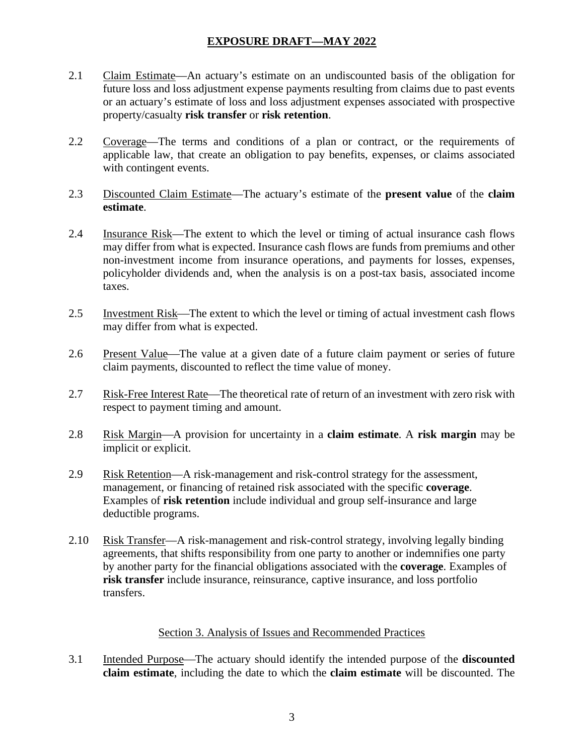- 2.1 Claim Estimate—An actuary's estimate on an undiscounted basis of the obligation for future loss and loss adjustment expense payments resulting from claims due to past events or an actuary's estimate of loss and loss adjustment expenses associated with prospective property/casualty **risk transfer** or **risk retention**.
- 2.2 Coverage—The terms and conditions of a plan or contract, or the requirements of applicable law, that create an obligation to pay benefits, expenses, or claims associated with contingent events.
- 2.3 Discounted Claim Estimate—The actuary's estimate of the **present value** of the **claim estimate**.
- 2.4 Insurance Risk—The extent to which the level or timing of actual insurance cash flows may differ from what is expected. Insurance cash flows are funds from premiums and other non-investment income from insurance operations, and payments for losses, expenses, policyholder dividends and, when the analysis is on a post-tax basis, associated income taxes.
- 2.5 Investment Risk—The extent to which the level or timing of actual investment cash flows may differ from what is expected.
- 2.6 Present Value—The value at a given date of a future claim payment or series of future claim payments, discounted to reflect the time value of money.
- 2.7 Risk-Free Interest Rate—The theoretical rate of return of an investment with zero risk with respect to payment timing and amount.
- 2.8 Risk Margin—A provision for uncertainty in a **claim estimate**. A **risk margin** may be implicit or explicit.
- 2.9 Risk Retention—A risk-management and risk-control strategy for the assessment, management, or financing of retained risk associated with the specific **coverage**. Examples of **risk retention** include individual and group self-insurance and large deductible programs.
- 2.10 Risk Transfer—A risk-management and risk-control strategy, involving legally binding agreements, that shifts responsibility from one party to another or indemnifies one party by another party for the financial obligations associated with the **coverage**. Examples of **risk transfer** include insurance, reinsurance, captive insurance, and loss portfolio transfers.

#### Section 3. Analysis of Issues and Recommended Practices

3.1 Intended Purpose—The actuary should identify the intended purpose of the **discounted claim estimate**, including the date to which the **claim estimate** will be discounted. The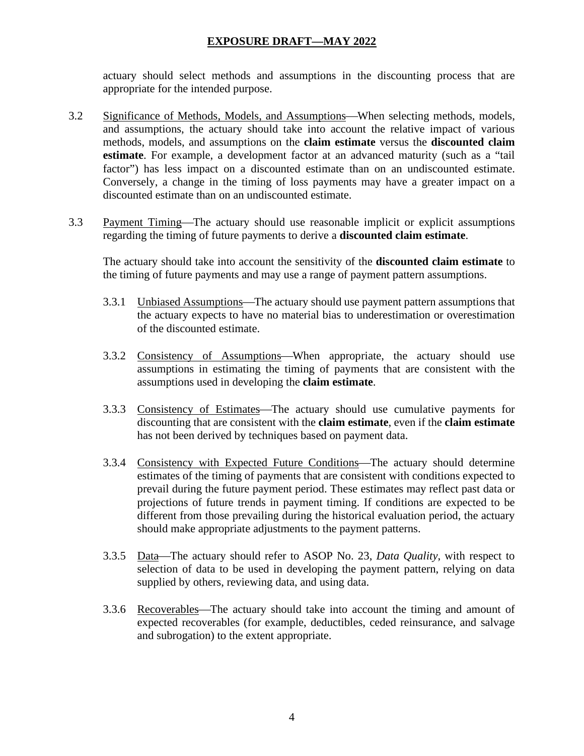actuary should select methods and assumptions in the discounting process that are appropriate for the intended purpose.

- 3.2 Significance of Methods, Models, and Assumptions—When selecting methods, models, and assumptions, the actuary should take into account the relative impact of various methods, models, and assumptions on the **claim estimate** versus the **discounted claim estimate**. For example, a development factor at an advanced maturity (such as a "tail factor") has less impact on a discounted estimate than on an undiscounted estimate. Conversely, a change in the timing of loss payments may have a greater impact on a discounted estimate than on an undiscounted estimate.
- 3.3 Payment Timing—The actuary should use reasonable implicit or explicit assumptions regarding the timing of future payments to derive a **discounted claim estimate**.

The actuary should take into account the sensitivity of the **discounted claim estimate** to the timing of future payments and may use a range of payment pattern assumptions.

- 3.3.1 Unbiased Assumptions—The actuary should use payment pattern assumptions that the actuary expects to have no material bias to underestimation or overestimation of the discounted estimate.
- 3.3.2 Consistency of Assumptions—When appropriate, the actuary should use assumptions in estimating the timing of payments that are consistent with the assumptions used in developing the **claim estimate**.
- 3.3.3 Consistency of Estimates—The actuary should use cumulative payments for discounting that are consistent with the **claim estimate**, even if the **claim estimate** has not been derived by techniques based on payment data.
- 3.3.4 Consistency with Expected Future Conditions—The actuary should determine estimates of the timing of payments that are consistent with conditions expected to prevail during the future payment period. These estimates may reflect past data or projections of future trends in payment timing. If conditions are expected to be different from those prevailing during the historical evaluation period, the actuary should make appropriate adjustments to the payment patterns.
- 3.3.5 Data—The actuary should refer to ASOP No. 23, *Data Quality*, with respect to selection of data to be used in developing the payment pattern, relying on data supplied by others, reviewing data, and using data.
- 3.3.6 Recoverables—The actuary should take into account the timing and amount of expected recoverables (for example, deductibles, ceded reinsurance, and salvage and subrogation) to the extent appropriate.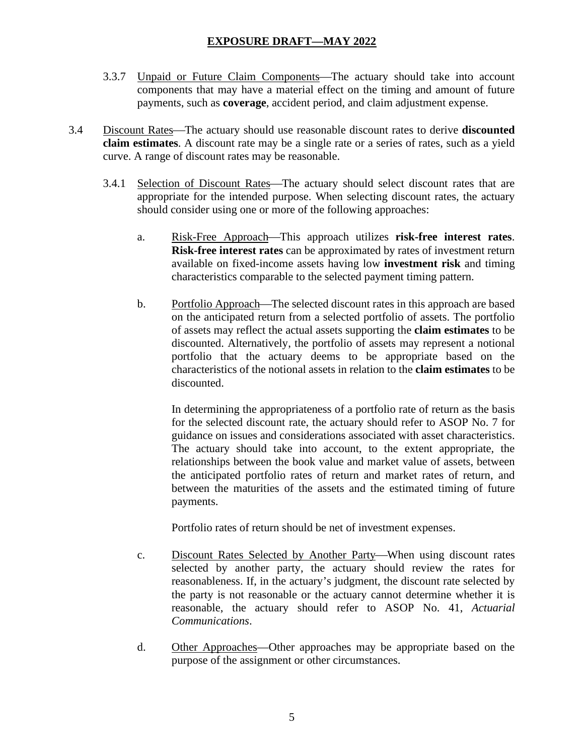- 3.3.7 Unpaid or Future Claim Components—The actuary should take into account components that may have a material effect on the timing and amount of future payments, such as **coverage**, accident period, and claim adjustment expense.
- 3.4 Discount Rates—The actuary should use reasonable discount rates to derive **discounted claim estimates**. A discount rate may be a single rate or a series of rates, such as a yield curve. A range of discount rates may be reasonable.
	- 3.4.1 Selection of Discount Rates—The actuary should select discount rates that are appropriate for the intended purpose. When selecting discount rates, the actuary should consider using one or more of the following approaches:
		- a. Risk-Free Approach—This approach utilizes **risk-free interest rates**. **Risk-free interest rates** can be approximated by rates of investment return available on fixed-income assets having low **investment risk** and timing characteristics comparable to the selected payment timing pattern.
		- b. Portfolio Approach—The selected discount rates in this approach are based on the anticipated return from a selected portfolio of assets. The portfolio of assets may reflect the actual assets supporting the **claim estimates** to be discounted. Alternatively, the portfolio of assets may represent a notional portfolio that the actuary deems to be appropriate based on the characteristics of the notional assets in relation to the **claim estimates** to be discounted.

In determining the appropriateness of a portfolio rate of return as the basis for the selected discount rate, the actuary should refer to ASOP No. 7 for guidance on issues and considerations associated with asset characteristics. The actuary should take into account, to the extent appropriate, the relationships between the book value and market value of assets, between the anticipated portfolio rates of return and market rates of return, and between the maturities of the assets and the estimated timing of future payments.

Portfolio rates of return should be net of investment expenses.

- c. Discount Rates Selected by Another Party—When using discount rates selected by another party, the actuary should review the rates for reasonableness. If, in the actuary's judgment, the discount rate selected by the party is not reasonable or the actuary cannot determine whether it is reasonable, the actuary should refer to ASOP No. 41, *Actuarial Communications*.
- d. Other Approaches—Other approaches may be appropriate based on the purpose of the assignment or other circumstances.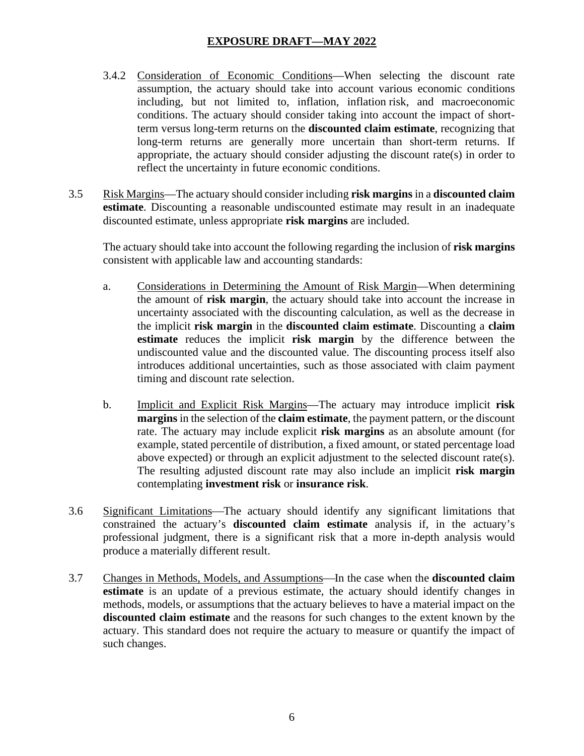- 3.4.2 Consideration of Economic Conditions—When selecting the discount rate assumption, the actuary should take into account various economic conditions including, but not limited to, inflation, inflation risk, and macroeconomic conditions. The actuary should consider taking into account the impact of shortterm versus long-term returns on the **discounted claim estimate**, recognizing that long-term returns are generally more uncertain than short-term returns. If appropriate, the actuary should consider adjusting the discount rate(s) in order to reflect the uncertainty in future economic conditions.
- 3.5 Risk Margins—The actuary should consider including **risk margins** in a **discounted claim estimate**. Discounting a reasonable undiscounted estimate may result in an inadequate discounted estimate, unless appropriate **risk margins** are included.

The actuary should take into account the following regarding the inclusion of **risk margins** consistent with applicable law and accounting standards:

- a. Considerations in Determining the Amount of Risk Margin—When determining the amount of **risk margin**, the actuary should take into account the increase in uncertainty associated with the discounting calculation, as well as the decrease in the implicit **risk margin** in the **discounted claim estimate**. Discounting a **claim estimate** reduces the implicit **risk margin** by the difference between the undiscounted value and the discounted value. The discounting process itself also introduces additional uncertainties, such as those associated with claim payment timing and discount rate selection.
- b. Implicit and Explicit Risk Margins—The actuary may introduce implicit **risk margins** in the selection of the **claim estimate**, the payment pattern, or the discount rate. The actuary may include explicit **risk margins** as an absolute amount (for example, stated percentile of distribution, a fixed amount, or stated percentage load above expected) or through an explicit adjustment to the selected discount rate(s). The resulting adjusted discount rate may also include an implicit **risk margin** contemplating **investment risk** or **insurance risk**.
- 3.6 Significant Limitations—The actuary should identify any significant limitations that constrained the actuary's **discounted claim estimate** analysis if, in the actuary's professional judgment, there is a significant risk that a more in-depth analysis would produce a materially different result.
- 3.7 Changes in Methods, Models, and Assumptions—In the case when the **discounted claim estimate** is an update of a previous estimate, the actuary should identify changes in methods, models, or assumptions that the actuary believes to have a material impact on the **discounted claim estimate** and the reasons for such changes to the extent known by the actuary. This standard does not require the actuary to measure or quantify the impact of such changes.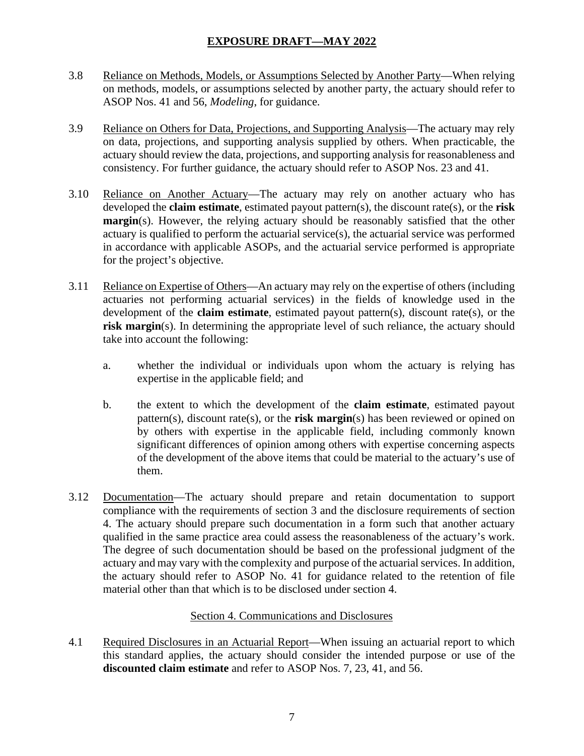- 3.8 Reliance on Methods, Models, or Assumptions Selected by Another Party—When relying on methods, models, or assumptions selected by another party, the actuary should refer to ASOP Nos. 41 and 56, *Modeling*, for guidance.
- 3.9 Reliance on Others for Data, Projections, and Supporting Analysis—The actuary may rely on data, projections, and supporting analysis supplied by others. When practicable, the actuary should review the data, projections, and supporting analysis for reasonableness and consistency. For further guidance, the actuary should refer to ASOP Nos. 23 and 41.
- 3.10 Reliance on Another Actuary—The actuary may rely on another actuary who has developed the **claim estimate**, estimated payout pattern(s), the discount rate(s), or the **risk margin**(s). However, the relying actuary should be reasonably satisfied that the other actuary is qualified to perform the actuarial service(s), the actuarial service was performed in accordance with applicable ASOPs, and the actuarial service performed is appropriate for the project's objective.
- 3.11 Reliance on Expertise of Others—An actuary may rely on the expertise of others (including actuaries not performing actuarial services) in the fields of knowledge used in the development of the **claim estimate**, estimated payout pattern(s), discount rate(s), or the **risk margin**(s). In determining the appropriate level of such reliance, the actuary should take into account the following:
	- a. whether the individual or individuals upon whom the actuary is relying has expertise in the applicable field; and
	- b. the extent to which the development of the **claim estimate**, estimated payout pattern(s), discount rate(s), or the **risk margin**(s) has been reviewed or opined on by others with expertise in the applicable field, including commonly known significant differences of opinion among others with expertise concerning aspects of the development of the above items that could be material to the actuary's use of them.
- 3.12 Documentation—The actuary should prepare and retain documentation to support compliance with the requirements of section 3 and the disclosure requirements of section 4. The actuary should prepare such documentation in a form such that another actuary qualified in the same practice area could assess the reasonableness of the actuary's work. The degree of such documentation should be based on the professional judgment of the actuary and may vary with the complexity and purpose of the actuarial services. In addition, the actuary should refer to ASOP No. 41 for guidance related to the retention of file material other than that which is to be disclosed under section 4.

## Section 4. Communications and Disclosures

4.1 Required Disclosures in an Actuarial Report—When issuing an actuarial report to which this standard applies, the actuary should consider the intended purpose or use of the **discounted claim estimate** and refer to ASOP Nos. 7, 23, 41, and 56.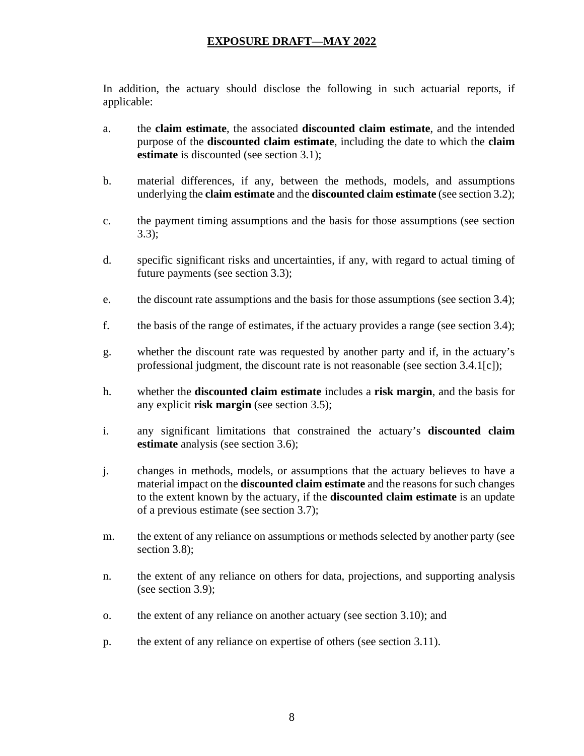In addition, the actuary should disclose the following in such actuarial reports, if applicable:

- a. the **claim estimate**, the associated **discounted claim estimate**, and the intended purpose of the **discounted claim estimate**, including the date to which the **claim estimate** is discounted (see section 3.1);
- b. material differences, if any, between the methods, models, and assumptions underlying the **claim estimate** and the **discounted claim estimate** (see section 3.2);
- c. the payment timing assumptions and the basis for those assumptions (see section 3.3);
- d. specific significant risks and uncertainties, if any, with regard to actual timing of future payments (see section 3.3);
- e. the discount rate assumptions and the basis for those assumptions (see section 3.4);
- f. the basis of the range of estimates, if the actuary provides a range (see section 3.4);
- g. whether the discount rate was requested by another party and if, in the actuary's professional judgment, the discount rate is not reasonable (see section 3.4.1[c]);
- h. whether the **discounted claim estimate** includes a **risk margin**, and the basis for any explicit **risk margin** (see section 3.5);
- i. any significant limitations that constrained the actuary's **discounted claim estimate** analysis (see section 3.6);
- j. changes in methods, models, or assumptions that the actuary believes to have a material impact on the **discounted claim estimate** and the reasons for such changes to the extent known by the actuary, if the **discounted claim estimate** is an update of a previous estimate (see section 3.7);
- m. the extent of any reliance on assumptions or methods selected by another party (see section 3.8):
- n. the extent of any reliance on others for data, projections, and supporting analysis (see section 3.9);
- o. the extent of any reliance on another actuary (see section 3.10); and
- p. the extent of any reliance on expertise of others (see section 3.11).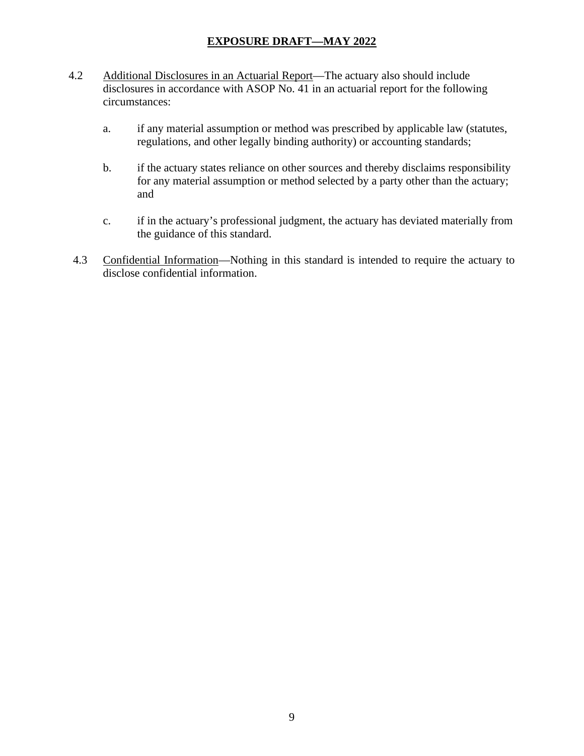- 4.2 Additional Disclosures in an Actuarial Report—The actuary also should include disclosures in accordance with ASOP No. 41 in an actuarial report for the following circumstances:
	- a. if any material assumption or method was prescribed by applicable law (statutes, regulations, and other legally binding authority) or accounting standards;
	- b. if the actuary states reliance on other sources and thereby disclaims responsibility for any material assumption or method selected by a party other than the actuary; and
	- c. if in the actuary's professional judgment, the actuary has deviated materially from the guidance of this standard.
- 4.3 Confidential Information—Nothing in this standard is intended to require the actuary to disclose confidential information.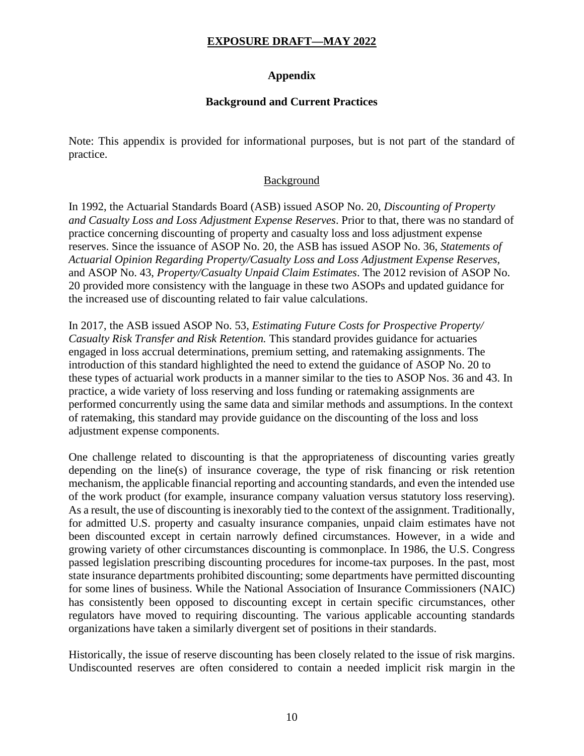## **Appendix**

#### **Background and Current Practices**

Note: This appendix is provided for informational purposes, but is not part of the standard of practice.

#### Background

In 1992, the Actuarial Standards Board (ASB) issued ASOP No. 20, *Discounting of Property and Casualty Loss and Loss Adjustment Expense Reserves*. Prior to that, there was no standard of practice concerning discounting of property and casualty loss and loss adjustment expense reserves. Since the issuance of ASOP No. 20, the ASB has issued ASOP No. 36, *Statements of Actuarial Opinion Regarding Property/Casualty Loss and Loss Adjustment Expense Reserves,* and ASOP No. 43, *Property/Casualty Unpaid Claim Estimates*. The 2012 revision of ASOP No. 20 provided more consistency with the language in these two ASOPs and updated guidance for the increased use of discounting related to fair value calculations.

In 2017, the ASB issued ASOP No. 53, *Estimating Future Costs for Prospective Property/ Casualty Risk Transfer and Risk Retention.* This standard provides guidance for actuaries engaged in loss accrual determinations, premium setting, and ratemaking assignments. The introduction of this standard highlighted the need to extend the guidance of ASOP No. 20 to these types of actuarial work products in a manner similar to the ties to ASOP Nos. 36 and 43. In practice, a wide variety of loss reserving and loss funding or ratemaking assignments are performed concurrently using the same data and similar methods and assumptions. In the context of ratemaking, this standard may provide guidance on the discounting of the loss and loss adjustment expense components.

One challenge related to discounting is that the appropriateness of discounting varies greatly depending on the line(s) of insurance coverage, the type of risk financing or risk retention mechanism, the applicable financial reporting and accounting standards, and even the intended use of the work product (for example, insurance company valuation versus statutory loss reserving). As a result, the use of discounting is inexorably tied to the context of the assignment. Traditionally, for admitted U.S. property and casualty insurance companies, unpaid claim estimates have not been discounted except in certain narrowly defined circumstances. However, in a wide and growing variety of other circumstances discounting is commonplace. In 1986, the U.S. Congress passed legislation prescribing discounting procedures for income-tax purposes. In the past, most state insurance departments prohibited discounting; some departments have permitted discounting for some lines of business. While the National Association of Insurance Commissioners (NAIC) has consistently been opposed to discounting except in certain specific circumstances, other regulators have moved to requiring discounting. The various applicable accounting standards organizations have taken a similarly divergent set of positions in their standards.

Historically, the issue of reserve discounting has been closely related to the issue of risk margins. Undiscounted reserves are often considered to contain a needed implicit risk margin in the